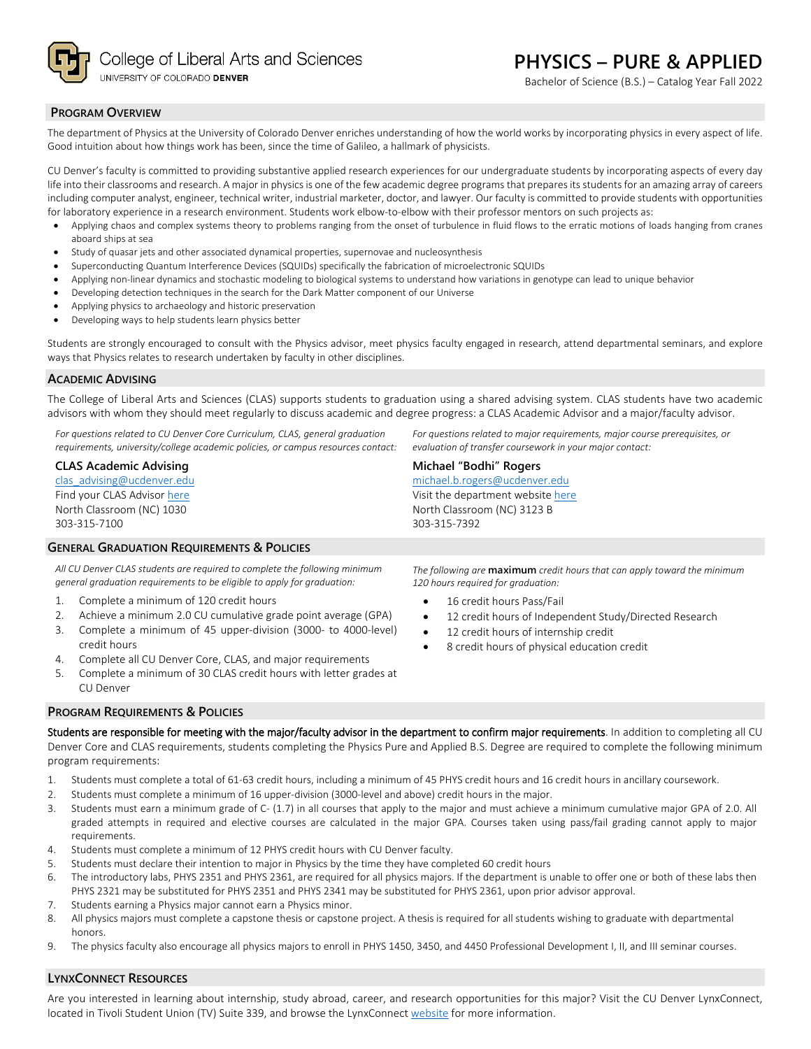

Bachelor of Science (B.S.) – Catalog Year Fall 2022

## **PROGRAM OVERVIEW**

The department of Physics at the University of Colorado Denver enriches understanding of how the world works by incorporating physics in every aspect of life. Good intuition about how things work has been, since the time of Galileo, a hallmark of physicists.

CU Denver's faculty is committed to providing substantive applied research experiences for our undergraduate students by incorporating aspects of every day life into their classrooms and research. A major in physics is one of the few academic degree programs that prepares its students for an amazing array of careers including computer analyst, engineer, technical writer, industrial marketer, doctor, and lawyer. Our faculty is committed to provide students with opportunities for laboratory experience in a research environment. Students work elbow-to-elbow with their professor mentors on such projects as:

- Applying chaos and complex systems theory to problems ranging from the onset of turbulence in fluid flows to the erratic motions of loads hanging from cranes aboard ships at sea
- Study of quasar jets and other associated dynamical properties, supernovae and nucleosynthesis
- Superconducting Quantum Interference Devices (SQUIDs) specifically the fabrication of microelectronic SQUIDs
- Applying non-linear dynamics and stochastic modeling to biological systems to understand how variations in genotype can lead to unique behavior
- Developing detection techniques in the search for the Dark Matter component of our Universe
- Applying physics to archaeology and historic preservation
- Developing ways to help students learn physics better

Students are strongly encouraged to consult with the Physics advisor, meet physics faculty engaged in research, attend departmental seminars, and explore ways that Physics relates to research undertaken by faculty in other disciplines.

## **ACADEMIC ADVISING**

The College of Liberal Arts and Sciences (CLAS) supports students to graduation using a shared advising system. CLAS students have two academic advisors with whom they should meet regularly to discuss academic and degree progress: a CLAS Academic Advisor and a major/faculty advisor.

*For questions related to CU Denver Core Curriculum, CLAS, general graduation requirements, university/college academic policies, or campus resources contact:*

## **CLAS Academic Advising**

[clas\\_advising@ucdenver.edu](mailto:clas_advising@ucdenver.edu) Find your CLAS Adviso[r here](https://clas.ucdenver.edu/advising/) North Classroom (NC) 1030 303-315-7100

## **GENERAL GRADUATION REQUIREMENTS & POLICIES**

*All CU Denver CLAS students are required to complete the following minimum general graduation requirements to be eligible to apply for graduation:*

- 1. Complete a minimum of 120 credit hours
- 2. Achieve a minimum 2.0 CU cumulative grade point average (GPA)
- 3. Complete a minimum of 45 upper-division (3000- to 4000-level) credit hours
- 4. Complete all CU Denver Core, CLAS, and major requirements
- 5. Complete a minimum of 30 CLAS credit hours with letter grades at CU Denver

*The following are* **maximum** *credit hours that can apply toward the minimum 120 hours required for graduation:*

*For questions related to major requirements, major course prerequisites, or* 

*evaluation of transfer coursework in your major contact:*

16 credit hours Pass/Fail

**Michael "Bodhi" Rogers** [michael.b.rogers@ucdenver.edu](mailto:michael.b.rogers@ucdenver.edu) Visit the department websit[e here](https://clas.ucdenver.edu/physics/) North Classroom (NC) 3123 B

303-315-7392

- 12 credit hours of Independent Study/Directed Research
- 12 credit hours of internship credit
- 8 credit hours of physical education credit

#### **PROGRAM REQUIREMENTS & POLICIES**

Students are responsible for meeting with the major/faculty advisor in the department to confirm major requirements. In addition to completing all CU Denver Core and CLAS requirements, students completing the Physics Pure and Applied B.S. Degree are required to complete the following minimum program requirements:

- 1. Students must complete a total of 61-63 credit hours, including a minimum of 45 PHYS credit hours and 16 credit hours in ancillary coursework.
- 2. Students must complete a minimum of 16 upper-division (3000-level and above) credit hours in the major.
- 3. Students must earn a minimum grade of C- (1.7) in all courses that apply to the major and must achieve a minimum cumulative major GPA of 2.0. All graded attempts in required and elective courses are calculated in the major GPA. Courses taken using pass/fail grading cannot apply to major requirements.
- 4. Students must complete a minimum of 12 PHYS credit hours with CU Denver faculty.
- 5. Students must declare their intention to major in Physics by the time they have completed 60 credit hours
- 6. The introductory labs, PHYS 2351 and PHYS 2361, are required for all physics majors. If the department is unable to offer one or both of these labs then PHYS 2321 may be substituted for PHYS 2351 and PHYS 2341 may be substituted for PHYS 2361, upon prior advisor approval.
- 7. Students earning a Physics major cannot earn a Physics minor.
- 8. All physics majors must complete a capstone thesis or capstone project. A thesis is required for all students wishing to graduate with departmental honors.
- 9. The physics faculty also encourage all physics majors to enroll in PHYS 1450, 3450, and 4450 Professional Development I, II, and III seminar courses.

#### **LYNXCONNECT RESOURCES**

Are you interested in learning about internship, study abroad, career, and research opportunities for this major? Visit the CU Denver LynxConnect, located in Tivoli Student Union (TV) Suite 339, and browse the LynxConnec[t website](http://www.ucdenver.edu/lynxconnect/Pages/default.aspx) for more information.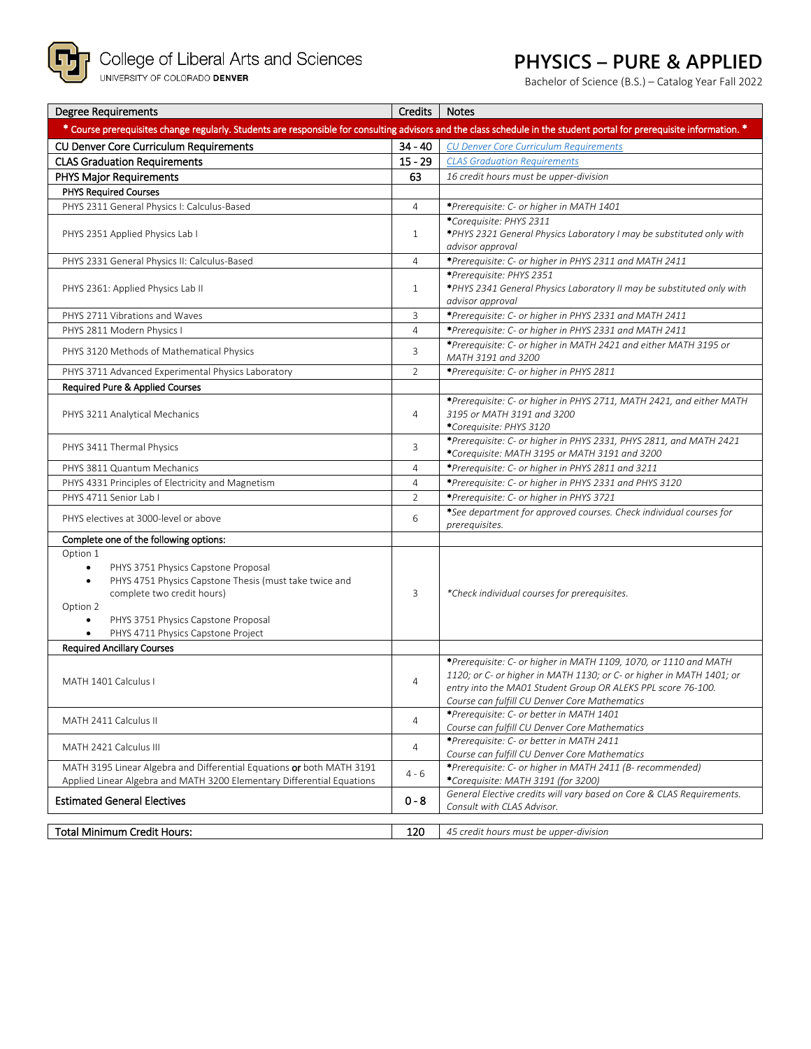

**P** College of Liberal Arts and Sciences<br><sub>UNIVERSITY OF COLORADO DENVER</sub>

# **PHYSICS – PURE & APPLIED**

Bachelor of Science (B.S.) – Catalog Year Fall 2022

| <b>Degree Requirements</b>                                                                                                                                                                                                                                                           | Credits        | <b>Notes</b>                                                                                                                                                                                                                                              |
|--------------------------------------------------------------------------------------------------------------------------------------------------------------------------------------------------------------------------------------------------------------------------------------|----------------|-----------------------------------------------------------------------------------------------------------------------------------------------------------------------------------------------------------------------------------------------------------|
| * Course prerequisites change regularly. Students are responsible for consulting advisors and the class schedule in the student portal for prerequisite information. *                                                                                                               |                |                                                                                                                                                                                                                                                           |
| <b>CU Denver Core Curriculum Requirements</b>                                                                                                                                                                                                                                        | $34 - 40$      | <b>CU Denver Core Curriculum Requirements</b>                                                                                                                                                                                                             |
| <b>CLAS Graduation Requirements</b>                                                                                                                                                                                                                                                  | $15 - 29$      | <b>CLAS Graduation Requirements</b>                                                                                                                                                                                                                       |
| <b>PHYS Major Requirements</b>                                                                                                                                                                                                                                                       | 63             | 16 credit hours must be upper-division                                                                                                                                                                                                                    |
| <b>PHYS Required Courses</b>                                                                                                                                                                                                                                                         |                |                                                                                                                                                                                                                                                           |
| PHYS 2311 General Physics I: Calculus-Based                                                                                                                                                                                                                                          | $\overline{4}$ | *Prerequisite: C- or higher in MATH 1401                                                                                                                                                                                                                  |
| PHYS 2351 Applied Physics Lab I                                                                                                                                                                                                                                                      | $\mathbf{1}$   | *Corequisite: PHYS 2311<br>*PHYS 2321 General Physics Laboratory I may be substituted only with<br>advisor approval                                                                                                                                       |
| PHYS 2331 General Physics II: Calculus-Based                                                                                                                                                                                                                                         | $\overline{4}$ | *Prerequisite: C- or higher in PHYS 2311 and MATH 2411                                                                                                                                                                                                    |
| PHYS 2361: Applied Physics Lab II                                                                                                                                                                                                                                                    | $\mathbf{1}$   | *Prereauisite: PHYS 2351<br>*PHYS 2341 General Physics Laboratory II may be substituted only with<br>advisor approval                                                                                                                                     |
| PHYS 2711 Vibrations and Waves                                                                                                                                                                                                                                                       | 3              | *Prerequisite: C- or higher in PHYS 2331 and MATH 2411                                                                                                                                                                                                    |
| PHYS 2811 Modern Physics I                                                                                                                                                                                                                                                           | $\overline{4}$ | *Prerequisite: C- or higher in PHYS 2331 and MATH 2411                                                                                                                                                                                                    |
| PHYS 3120 Methods of Mathematical Physics                                                                                                                                                                                                                                            | 3              | *Prerequisite: C- or higher in MATH 2421 and either MATH 3195 or<br>MATH 3191 and 3200                                                                                                                                                                    |
| PHYS 3711 Advanced Experimental Physics Laboratory                                                                                                                                                                                                                                   | $\overline{2}$ | *Prerequisite: C- or higher in PHYS 2811                                                                                                                                                                                                                  |
| Required Pure & Applied Courses                                                                                                                                                                                                                                                      |                |                                                                                                                                                                                                                                                           |
| PHYS 3211 Analytical Mechanics                                                                                                                                                                                                                                                       | 4              | *Prerequisite: C- or higher in PHYS 2711, MATH 2421, and either MATH<br>3195 or MATH 3191 and 3200<br>*Corequisite: PHYS 3120                                                                                                                             |
| PHYS 3411 Thermal Physics                                                                                                                                                                                                                                                            | 3              | *Prerequisite: C- or higher in PHYS 2331, PHYS 2811, and MATH 2421<br>*Corequisite: MATH 3195 or MATH 3191 and 3200                                                                                                                                       |
| PHYS 3811 Quantum Mechanics                                                                                                                                                                                                                                                          | 4              | *Prerequisite: C- or higher in PHYS 2811 and 3211                                                                                                                                                                                                         |
| PHYS 4331 Principles of Electricity and Magnetism                                                                                                                                                                                                                                    | $\overline{4}$ | *Prerequisite: C- or higher in PHYS 2331 and PHYS 3120                                                                                                                                                                                                    |
| PHYS 4711 Senior Lab I                                                                                                                                                                                                                                                               | $\overline{2}$ | *Prerequisite: C- or higher in PHYS 3721                                                                                                                                                                                                                  |
| PHYS electives at 3000-level or above                                                                                                                                                                                                                                                | 6              | *See department for approved courses. Check individual courses for<br>prerequisites.                                                                                                                                                                      |
| Complete one of the following options:                                                                                                                                                                                                                                               |                |                                                                                                                                                                                                                                                           |
| Option 1<br>PHYS 3751 Physics Capstone Proposal<br>$\bullet$<br>PHYS 4751 Physics Capstone Thesis (must take twice and<br>$\bullet$<br>complete two credit hours)<br>Option 2<br>PHYS 3751 Physics Capstone Proposal<br>$\bullet$<br>PHYS 4711 Physics Capstone Project<br>$\bullet$ | 3              | *Check individual courses for prerequisites.                                                                                                                                                                                                              |
| <b>Required Ancillary Courses</b>                                                                                                                                                                                                                                                    |                |                                                                                                                                                                                                                                                           |
| MATH 1401 Calculus I                                                                                                                                                                                                                                                                 | 4              | *Prerequisite: C- or higher in MATH 1109, 1070, or 1110 and MATH<br>1120; or C- or higher in MATH 1130; or C- or higher in MATH 1401; or<br>entry into the MA01 Student Group OR ALEKS PPL score 76-100.<br>Course can fulfill CU Denver Core Mathematics |
| MATH 2411 Calculus II                                                                                                                                                                                                                                                                | $\overline{4}$ | *Prerequisite: C- or better in MATH 1401<br>Course can fulfill CU Denver Core Mathematics                                                                                                                                                                 |
| MATH 2421 Calculus III                                                                                                                                                                                                                                                               | 4              | *Prerequisite: C- or better in MATH 2411<br>Course can fulfill CU Denver Core Mathematics                                                                                                                                                                 |
| MATH 3195 Linear Algebra and Differential Equations or both MATH 3191<br>Applied Linear Algebra and MATH 3200 Elementary Differential Equations                                                                                                                                      | $4 - 6$        | *Prerequisite: C- or higher in MATH 2411 (B- recommended)<br>*Corequisite: MATH 3191 (for 3200)                                                                                                                                                           |
| <b>Estimated General Electives</b>                                                                                                                                                                                                                                                   | $0 - 8$        | General Elective credits will vary based on Core & CLAS Requirements.<br>Consult with CLAS Advisor.                                                                                                                                                       |
|                                                                                                                                                                                                                                                                                      |                |                                                                                                                                                                                                                                                           |
| <b>Total Minimum Credit Hours:</b>                                                                                                                                                                                                                                                   | 120            | 45 credit hours must be upper-division                                                                                                                                                                                                                    |